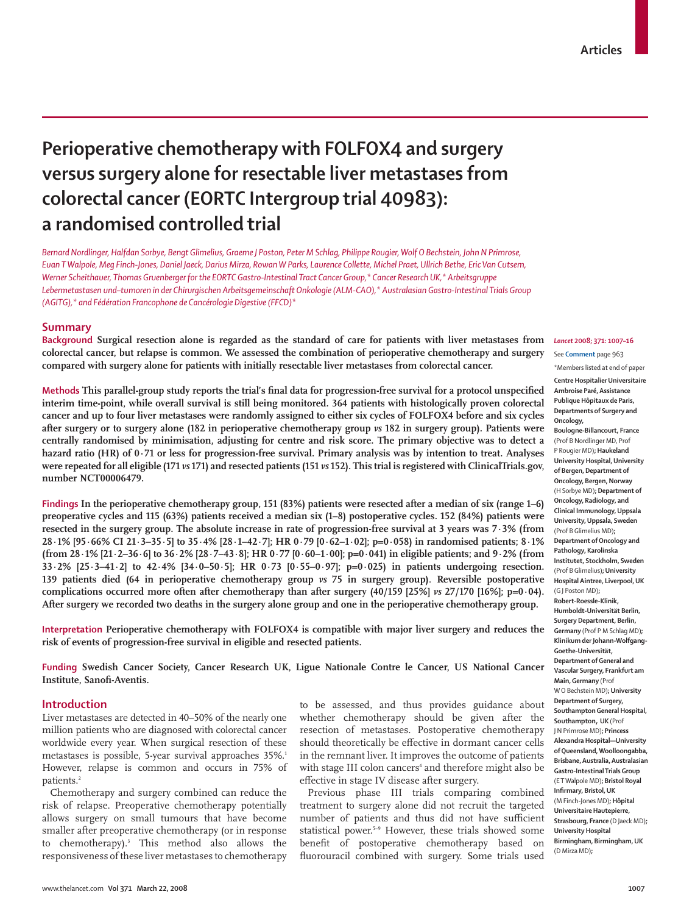# **Perioperative chemotherapy with FOLFOX4 and surgery versus surgery alone for resectable liver metastases from colorectal cancer (EORTC Intergroup trial 40983): a randomised controlled trial**

*Bernard Nordlinger, Halfdan Sorbye, Bengt Glimelius, Graeme J Poston, Peter M Schlag, Philippe Rougier, Wolf O Bechstein, John N Primrose, Euan T Walpole, Meg Finch-Jones, Daniel Jaeck, Darius Mirza, Rowan W Parks, Laurence Collette, Michel Praet, Ullrich Bethe, Eric Van Cutsem, Werner Scheithauer, Thomas Gruenberger for the EORTC Gastro-Intestinal Tract Cancer Group,\* Cancer Research UK,\* Arbeitsgruppe Lebermetastasen und–tumoren in der Chirurgischen Arbeitsgemeinschaft Onkologie (ALM-CAO),\* Australasian Gastro-Intestinal Trials Group (AGITG),\* and Fédération Francophone de Cancérologie Digestive (FFCD)\**

# **Summary**

**Background Surgical resection alone is regarded as the standard of care for patients with liver metastases from colorectal cancer, but relapse is common. We assessed the combination of perioperative chemotherapy and surgery compared with surgery alone for patients with initially resectable liver metastases from colorectal cancer.**

*Lancet* **2008; 371: 1007–16**

See **Comment** page 963 \*Members listed at end of paper

**Centre Hospitalier Universitaire Ambroise Paré, Assistance Publique Hôpitaux de Paris, Departments of Surgery and Oncology, Boulogne-Billancourt, France**  (Prof B Nordlinger MD, Prof P Rougier MD)**; Haukeland University Hospital, University of Bergen, Department of Oncology, Bergen, Norway**  (H Sorbye MD)**; Department of Oncology, Radiology, and Clinical Immunology, Uppsala University, Uppsala, Sweden**  (Prof B Glimelius MD)**; Department of Oncology and Pathology, Karolinska Institutet, Stockholm, Sweden**  (Prof B Glimelius)**; University Hospital Aintree, Liverpool, UK**  (G J Poston MD)**; Robert-Roessle-Klinik, Humboldt-Universität Berlin, Surgery Department, Berlin, Germany** (Prof P M Schlag MD)**; Klinikum der Johann-Wolfgang-Goethe-Universität, Department of General and Vascular Surgery, Frankfurt am Main, Germany** (Prof W O Bechstein MD)**; University Department of Surgery, Southampton General Hospital, Southampton**, **UK** (Prof J N Primrose MD)**; Princess Alexandra Hospital—University of Queensland, Woolloongabba, Brisbane, Australia, Australasian Gastro-Intestinal Trials Group** 

(E T Walpole MD)**; Bristol Royal Infi rmary, Bristol, UK**  (M Finch-Jones MD)**; Hôpital Universitaire Hautepierre, Strasbourg, France** (D Jaeck MD)**; University Hospital Birmingham, Birmingham, UK**  (D Mirza MD)**;**

Methods This parallel-group study reports the trial's final data for progression-free survival for a protocol unspecified **interim time-point, while overall survival is still being monitored. 364 patients with histologically proven colorectal cancer and up to four liver metastases were randomly assigned to either six cycles of FOLFOX4 before and six cycles after surgery or to surgery alone (182 in perioperative chemotherapy group** *vs* **182 in surgery group). Patients were centrally randomised by minimisation, adjusting for centre and risk score. The primary objective was to detect a hazard ratio (HR) of 0·71 or less for progression-free survival. Primary analysis was by intention to treat. Analyses were repeated for all eligible (171** *vs* **171) and resected patients (151** *vs* **152). This trial is registered with ClinicalTrials.gov, number NCT00006479.**

**Findings In the perioperative chemotherapy group, 151 (83%) patients were resected after a median of six (range 1–6) preoperative cycles and 115 (63%) patients received a median six (1–8) postoperative cycles. 152 (84%) patients were resected in the surgery group. The absolute increase in rate of progression-free survival at 3 years was 7·3% (from 28·1% [95·66% CI 21·3–35·5] to 35·4% [28·1–42·7]; HR 0·79 [0·62–1·02]; p=0·058) in randomised patients; 8·1% (from 28·1% [21·2–36·6] to 36·2% [28·7–43·8]; HR 0·77 [0·60–1·00]; p=0·041) in eligible patients; and 9·2% (from 33·2% [25·3–41·2] to 42·4% [34·0–50·5]; HR 0·73 [0·55–0·97]; p=0·025) in patients undergoing resection. 139 patients died (64 in perioperative chemotherapy group** *vs* **75 in surgery group)**. **Reversible postoperative complications occurred more often after chemotherapy than after surgery (40/159 [25%]** *vs* **27/170 [16%]; p=0·04). After surgery we recorded two deaths in the surgery alone group and one in the perioperative chemotherapy group.**

**Interpretation Perioperative chemotherapy with FOLFOX4 is compatible with major liver surgery and reduces the risk of events of progression-free survival in eligible and resected patients.** 

**Funding Swedish Cancer Society, Cancer Research UK, Ligue Nationale Contre le Cancer, US National Cancer Institute, Sanofi -Aventis.**

## **Introduction**

Liver metastases are detected in 40–50% of the nearly one million patients who are diagnosed with colorectal cancer worldwide every year. When surgical resection of these metastases is possible, 5-year survival approaches 35%.<sup>1</sup> However, relapse is common and occurs in 75% of patients.2

Chemotherapy and surgery combined can reduce the risk of relapse. Preoperative chemotherapy potentially allows surgery on small tumours that have become smaller after preoperative chemotherapy (or in response to chemotherapy).3 This method also allows the responsiveness of these liver metastases to chemotherapy

to be assessed, and thus provides guidance about whether chemotherapy should be given after the resection of metastases. Postoperative chemotherapy should theoretically be effective in dormant cancer cells in the remnant liver. It improves the outcome of patients with stage III colon cancers<sup>4</sup> and therefore might also be effective in stage IV disease after surgery.

Previous phase III trials comparing combined treatment to surgery alone did not recruit the targeted number of patients and thus did not have sufficient statistical power.<sup>5-9</sup> However, these trials showed some benefit of postoperative chemotherapy based on fluorouracil combined with surgery. Some trials used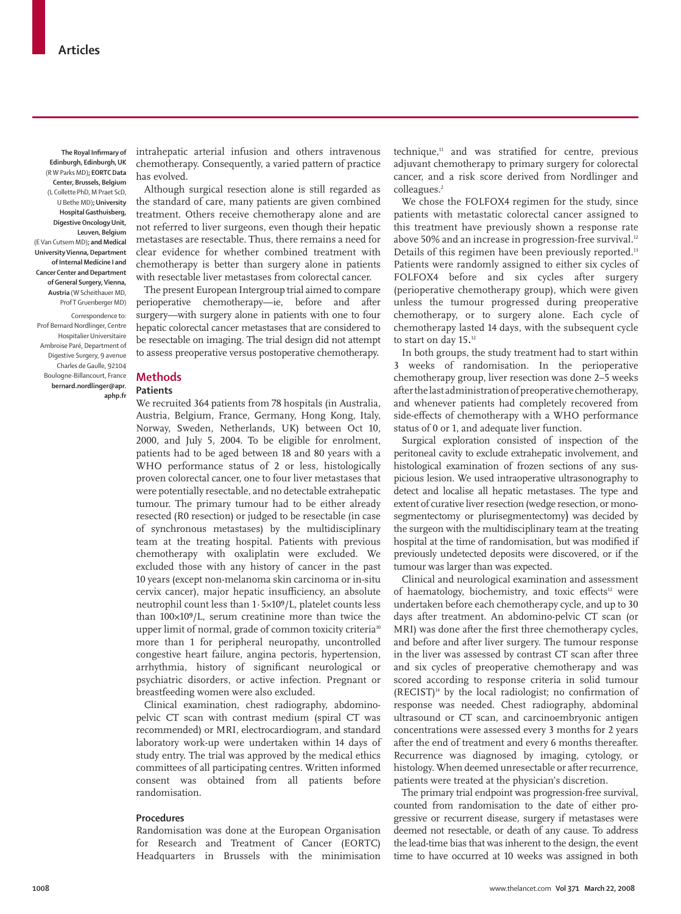**The Royal Infirmary of Edinburgh, Edinburgh, UK**  (R W Parks MD)**; EORTC Data Center, Brussels, Belgium**  (L Collette PhD, M Praet ScD, U Bethe MD)**; University Hospital Gasthuisberg, Digestive Oncology Unit, Leuven, Belgium**  (E Van Cutsem MD)**; and Medical University Vienna, Department of Internal Medicine I and Cancer Center and Department of General Surgery, Vienna, Austria** (W Scheithauer MD, Prof T Gruenberger MD) Correspondence to:

Prof Bernard Nordlinger, Centre Hospitalier Universitaire Ambroise Paré, Department of Digestive Surgery, 9 avenue Charles de Gaulle, 92104 Boulogne-Billancourt, France **bernard.nordlinger@apr. aphp.fr**

intrahepatic arterial infusion and others intravenous chemotherapy. Consequently, a varied pattern of practice has evolved.

Although surgical resection alone is still regarded as the standard of care, many patients are given combined treatment. Others receive chemotherapy alone and are not referred to liver surgeons, even though their hepatic metastases are resectable. Thus, there remains a need for clear evidence for whether combined treatment with chemotherapy is better than surgery alone in patients with resectable liver metastases from colorectal cancer.

The present European Intergroup trial aimed to compare perioperative chemotherapy—ie, before and after surgery—with surgery alone in patients with one to four hepatic colorectal cancer metastases that are considered to be resectable on imaging. The trial design did not attempt to assess preoperative versus postoperative chemotherapy.

### **Methods Patients**

We recruited 364 patients from 78 hospitals (in Australia, Austria, Belgium, France, Germany, Hong Kong, Italy, Norway, Sweden, Netherlands, UK) between Oct 10, 2000, and July 5, 2004. To be eligible for enrolment, patients had to be aged between 18 and 80 years with a WHO performance status of 2 or less, histologically proven colorectal cancer, one to four liver metastases that were potentially resectable, and no detectable extrahepatic tumour. The primary tumour had to be either already resected (R0 resection) or judged to be resectable (in case of synchronous metastases) by the multidisciplinary team at the treating hospital. Patients with previous chemotherapy with oxaliplatin were excluded. We excluded those with any history of cancer in the past 10 years (except non-melanoma skin carcinoma or in-situ cervix cancer), major hepatic insufficiency, an absolute neutrophil count less than  $1.5 \times 10^9$ /L, platelet counts less than  $100\times10^{9}/L$ , serum creatinine more than twice the upper limit of normal, grade of common toxicity criteria<sup>10</sup> more than 1 for peripheral neuropathy, uncontrolled congestive heart failure, angina pectoris, hypertension, arrhythmia, history of significant neurological or psychiatric disorders, or active infection. Pregnant or breastfeeding women were also excluded.

Clinical examination, chest radiography, abdominopelvic CT scan with contrast medium (spiral CT was recommended) or MRI, electrocardiogram, and standard laboratory work-up were undertaken within 14 days of study entry. The trial was approved by the medical ethics committees of all participating centres. Written informed consent was obtained from all patients before randomisation.

# **Procedures**

Randomisation was done at the European Organisation for Research and Treatment of Cancer (EORTC) Headquarters in Brussels with the minimisation technique,<sup>11</sup> and was stratified for centre, previous adjuvant chemotherapy to primary surgery for colorectal cancer, and a risk score derived from Nordlinger and colleagues.<sup>2</sup>

We chose the FOLFOX4 regimen for the study, since patients with metastatic colorectal cancer assigned to this treatment have previously shown a response rate above 50% and an increase in progression-free survival.<sup>12</sup> Details of this regimen have been previously reported.<sup>13</sup> Patients were randomly assigned to either six cycles of FOLFOX4 before and six cycles after surgery (perioperative chemotherapy group), which were given unless the tumour progressed during preoperative chemotherapy, or to surgery alone. Each cycle of chemotherapy lasted 14 days, with the subsequent cycle to start on day 15. 12

In both groups, the study treatment had to start within 3 weeks of randomisation. In the perioperative chemotherapy group, liver resection was done 2–5 weeks after the last administration of preoperative chemotherapy, and whenever patients had completely recovered from side-effects of chemotherapy with a WHO performance status of 0 or 1, and adequate liver function.

Surgical exploration consisted of inspection of the peritoneal cavity to exclude extrahepatic involvement, and histological examination of frozen sections of any suspicious lesion. We used intraoperative ultrasonography to detect and localise all hepatic metastases. The type and extent of curative liver resection (wedge resection, or monosegmentectomy or plurisegmentectomy) was decided by the surgeon with the multidisciplinary team at the treating hospital at the time of randomisation, but was modified if previously undetected deposits were discovered, or if the tumour was larger than was expected.

Clinical and neurological examination and assessment of haematology, biochemistry, and toxic effects<sup>12</sup> were undertaken before each chemotherapy cycle, and up to 30 days after treatment. An abdomino-pelvic CT scan (or MRI) was done after the first three chemotherapy cycles, and before and after liver surgery. The tumour response in the liver was assessed by contrast CT scan after three and six cycles of preoperative chemotherapy and was scored according to response criteria in solid tumour  $(RECIST)^4$  by the local radiologist; no confirmation of response was needed. Chest radiography, abdominal ultrasound or CT scan, and carcinoembryonic antigen concentrations were assessed every 3 months for 2 years after the end of treatment and every 6 months thereafter. Recurrence was diagnosed by imaging, cytology, or histology. When deemed unresectable or after recurrence, patients were treated at the physician's discretion.

The primary trial endpoint was progression-free survival, counted from randomisation to the date of either progressive or recurrent disease, surgery if metastases were deemed not resectable, or death of any cause. To address the lead-time bias that was inherent to the design, the event time to have occurred at 10 weeks was assigned in both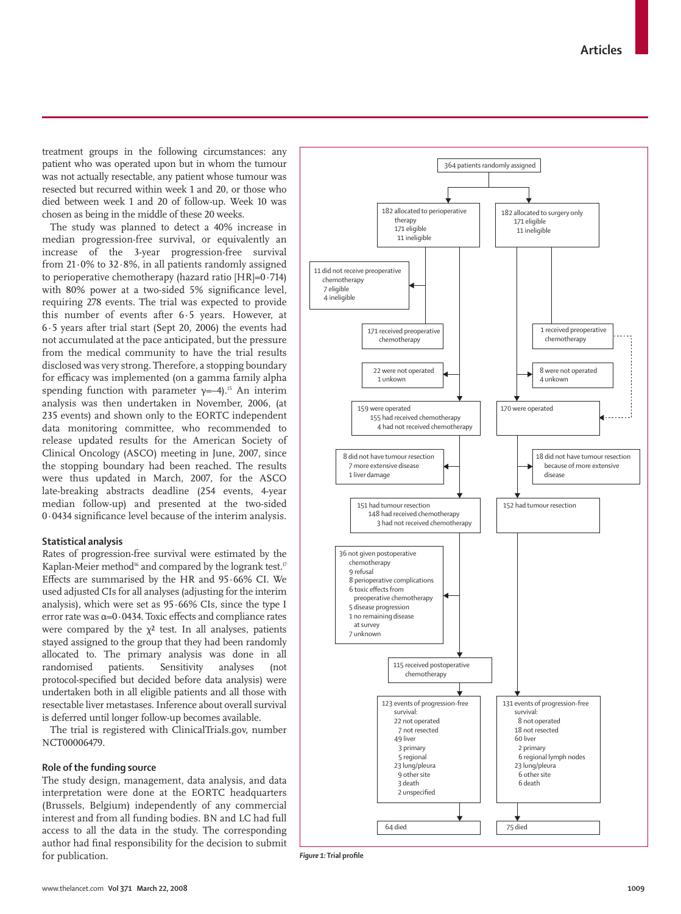64 died 75 died 364 patients randomly assigned 159 were operated 155 had received chemotherapy 4 had not received chemotherapy 115 received postoperative chemotherapy 123 events of progression-free survival: 22 not operated 7 not resected 49 liver 3 primary 5 regional 23 lung/pleura 9 other site 3 death 2 unspecified 8 did not have tumour resection 7 more extensive disease 1 liver damage 36 not given postoperative chemotherapy 9 refusal 8 perioperative complications 6 toxic effects from preoperative chemotherapy 5 disease progression 1 no remaining disease at survey 7 unknown 22 were not operated 1 unkown 8 were not operated 4 unkown 182 allocated to perioperative therapy 171 eligible 11 ineligible 182 allocated to surgery only 171 eligible 11 ineligible 170 were operated 18 did not have tumour resection because of more extensive disease 151 had tumour resection 152 had tumour resection 148 had received chemotherapy 3 had not received chemotherapy 131 events of progression-free survival: 8 not operated 18 not resected 60 liver 2 primary 6 regional lymph nodes 23 lung/pleura 6 other site 6 death 11 did not receive preoperative chemotherapy 7 eligible 4 ineligible 171 received preoperative chemotherapy 1 received preoperative chemotherapy

treatment groups in the following circumstances: any patient who was operated upon but in whom the tumour was not actually resectable, any patient whose tumour was resected but recurred within week 1 and 20, or those who died between week 1 and 20 of follow-up. Week 10 was chosen as being in the middle of these 20 weeks.

The study was planned to detect a 40% increase in median progression-free survival, or equivalently an increase of the 3-year progression-free survival from  $21.0\%$  to  $32.8\%$ , in all patients randomly assigned to perioperative chemotherapy (hazard ratio [HR]=0·714) with 80% power at a two-sided 5% significance level, requiring 278 events. The trial was expected to provide this number of events after 6·5 years. However, at 6·5 years after trial start (Sept 20, 2006) the events had not accumulated at the pace anticipated, but the pressure from the medical community to have the trial results disclosed was very strong. Therefore, a stopping boundary for efficacy was implemented (on a gamma family alpha spending function with parameter  $\gamma = -4$ ).<sup>15</sup> An interim analysis was then undertaken in November, 2006, (at 235 events) and shown only to the EORTC independent data monitoring committee, who recommended to release updated results for the American Society of Clinical Oncology (ASCO) meeting in June, 2007, since the stopping boundary had been reached. The results were thus updated in March, 2007, for the ASCO late-breaking abstracts deadline (254 events, 4-year median follow-up) and presented at the two-sided  $0.0434$  significance level because of the interim analysis.

# **Statistical analysis**

Rates of progression-free survival were estimated by the Kaplan-Meier method<sup>16</sup> and compared by the logrank test.<sup>17</sup> Effects are summarised by the HR and  $95.66\%$  CI. We used adjusted CIs for all analyses (adjusting for the interim analysis), which were set as  $95.66\%$  CIs, since the type I error rate was  $\alpha = 0.0434$ . Toxic effects and compliance rates were compared by the  $\chi^2$  test. In all analyses, patients stayed assigned to the group that they had been randomly allocated to. The primary analysis was done in all randomised patients. Sensitivity analyses (not protocol-specified but decided before data analysis) were undertaken both in all eligible patients and all those with resectable liver metastases. Inference about overall survival is deferred until longer follow-up becomes available.

The trial is registered with ClinicalTrials.gov, number NCT00006479.

# **Role of the funding source**

The study design, management, data analysis, and data interpretation were done at the EORTC headquarters (Brussels, Belgium) independently of any commercial interest and from all funding bodies. BN and LC had full access to all the data in the study. The corresponding author had final responsibility for the decision to submit for publication.

**Figure 1:** Trial profile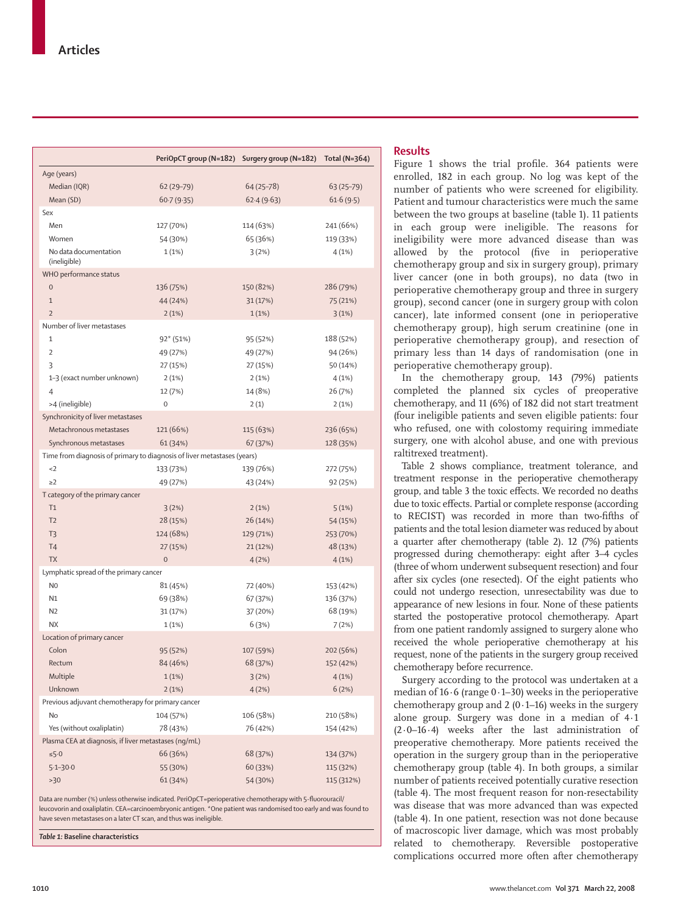|                                                                         | PeriOpCT group (N=182) Surgery group (N=182) Total (N=364) |             |            |
|-------------------------------------------------------------------------|------------------------------------------------------------|-------------|------------|
| Age (years)                                                             |                                                            |             |            |
| Median (IQR)                                                            | $62(29-79)$                                                | $64(25-78)$ | 63 (25–79) |
| Mean (SD)                                                               | 60.7(9.35)                                                 | 62.4(9.63)  | 61.6(9.5)  |
| Sex                                                                     |                                                            |             |            |
| Men                                                                     | 127 (70%)                                                  | 114 (63%)   | 241 (66%)  |
| Women                                                                   | 54 (30%)                                                   | 65 (36%)    | 119 (33%)  |
| No data documentation<br>(ineligible)                                   | 1(1%)                                                      | 3(2%)       | 4(1%)      |
| WHO performance status                                                  |                                                            |             |            |
| $\overline{0}$                                                          | 136 (75%)                                                  | 150 (82%)   | 286 (79%)  |
| $\mathbf{1}$                                                            | 44 (24%)                                                   | 31(17%)     | 75 (21%)   |
| $\overline{2}$                                                          | 2(1%)                                                      | 1(1%)       | 3(1%)      |
| Number of liver metastases                                              |                                                            |             |            |
| $\mathbf{1}$                                                            | $92*(51%)$                                                 | 95 (52%)    | 188 (52%)  |
| $\overline{2}$                                                          | 49 (27%)                                                   | 49 (27%)    | 94 (26%)   |
| 3                                                                       | 27 (15%)                                                   | 27 (15%)    | 50 (14%)   |
| 1-3 (exact number unknown)                                              | 2(1%)                                                      | 2(1%)       | 4(1%)      |
| 4                                                                       | 12 (7%)                                                    | 14 (8%)     | 26 (7%)    |
| >4 (ineligible)                                                         | 0                                                          | 2(1)        | 2(1%)      |
| Synchronicity of liver metastases                                       |                                                            |             |            |
| Metachronous metastases                                                 | 121 (66%)                                                  | 115 (63%)   | 236 (65%)  |
| Synchronous metastases                                                  | 61 (34%)                                                   | 67 (37%)    | 128 (35%)  |
| Time from diagnosis of primary to diagnosis of liver metastases (years) |                                                            |             |            |
| $2$                                                                     | 133 (73%)                                                  | 139 (76%)   | 272 (75%)  |
| $\geq$ 2                                                                | 49 (27%)                                                   | 43 (24%)    | 92 (25%)   |
| T category of the primary cancer                                        |                                                            |             |            |
| T1                                                                      | 3(2%)                                                      | 2(1%)       | 5(1%)      |
| T <sub>2</sub>                                                          | 28 (15%)                                                   | 26 (14%)    | 54 (15%)   |
| T <sub>3</sub>                                                          | 124 (68%)                                                  | 129 (71%)   | 253 (70%)  |
| <b>T4</b>                                                               | 27 (15%)                                                   | 21(12%)     | 48 (13%)   |
| <b>TX</b>                                                               | $\overline{0}$                                             | 4(2%)       | 4(1%)      |
| Lymphatic spread of the primary cancer                                  |                                                            |             |            |
| N <sub>0</sub>                                                          | 81 (45%)                                                   | 72 (40%)    | 153 (42%)  |
| N1                                                                      | 69 (38%)                                                   | 67 (37%)    | 136 (37%)  |
| N <sub>2</sub>                                                          | 31 (17%)                                                   | 37 (20%)    | 68 (19%)   |
| <b>NX</b>                                                               | 1(1%)                                                      | 6(3%)       | 7(2%)      |
| Location of primary cancer                                              |                                                            |             |            |
| Colon                                                                   | 95 (52%)                                                   | 107 (59%)   | 202 (56%)  |
| Rectum                                                                  | 84 (46%)                                                   | 68 (37%)    | 152 (42%)  |
| Multiple                                                                | 1(1%)                                                      | 3(2%)       | 4(1%)      |
| Unknown                                                                 | 2(1%)                                                      | 4(2%)       | 6(2%)      |
| Previous adjuvant chemotherapy for primary cancer                       |                                                            |             |            |
| No                                                                      | 104 (57%)                                                  | 106 (58%)   | 210 (58%)  |
| Yes (without oxaliplatin)                                               | 78 (43%)                                                   | 76 (42%)    | 154 (42%)  |
| Plasma CEA at diagnosis, if liver metastases (ng/mL)                    |                                                            |             |            |
| ≤5 $·$ 0                                                                | 66 (36%)                                                   | 68 (37%)    | 134 (37%)  |
| $5.1 - 30.0$                                                            | 55 (30%)                                                   | 60 (33%)    | 115 (32%)  |
| >30                                                                     | 61 (34%)                                                   | 54 (30%)    | 115 (312%) |

Data are number (%) unless otherwise indicated. PeriOpCT=perioperative chemotherapy with 5-fluorouracil/ leucovorin and oxaliplatin. CEA=carcinoembryonic antigen. \*One patient was randomised too early and was found to have seven metastases on a later CT scan, and thus was ineligible.

*Table 1:* **Baseline characteristics**

# **Results**

Figure 1 shows the trial profile. 364 patients were enrolled, 182 in each group. No log was kept of the number of patients who were screened for eligibility. Patient and tumour characteristics were much the same between the two groups at baseline (table 1). 11 patients in each group were ineligible. The reasons for ineligibility were more advanced disease than was allowed by the protocol (five in perioperative chemotherapy group and six in surgery group), primary liver cancer (one in both groups), no data (two in perioperative chemotherapy group and three in surgery group), second cancer (one in surgery group with colon cancer), late informed consent (one in perioperative chemotherapy group), high serum creatinine (one in perioperative chemotherapy group), and resection of primary less than 14 days of randomisation (one in perioperative chemotherapy group).

In the chemotherapy group, 143 (79%) patients completed the planned six cycles of preoperative chemotherapy, and 11 (6%) of 182 did not start treatment (four ineligible patients and seven eligible patients: four who refused, one with colostomy requiring immediate surgery, one with alcohol abuse, and one with previous raltitrexed treatment).

Table 2 shows compliance, treatment tolerance, and treatment response in the perioperative chemotherapy group, and table 3 the toxic effects. We recorded no deaths due to toxic effects. Partial or complete response (according to RECIST) was recorded in more than two-fifths of patients and the total lesion diameter was reduced by about a quarter after chemotherapy (table 2). 12 (7%) patients progressed during chemotherapy: eight after 3–4 cycles (three of whom underwent subsequent resection) and four after six cycles (one resected). Of the eight patients who could not undergo resection, unresectability was due to appearance of new lesions in four. None of these patients started the postoperative protocol chemotherapy. Apart from one patient randomly assigned to surgery alone who received the whole perioperative chemotherapy at his request, none of the patients in the surgery group received chemotherapy before recurrence.

Surgery according to the protocol was undertaken at a median of  $16.6$  (range  $0.1-30$ ) weeks in the perioperative chemotherapy group and  $2(0.1-16)$  weeks in the surgery alone group. Surgery was done in a median of 4·1 (2·0–16·4) weeks after the last administration of preoperative chemotherapy. More patients received the operation in the surgery group than in the perioperative chemotherapy group (table 4). In both groups, a similar number of patients received potentially curative resection (table 4). The most frequent reason for non-resectability was disease that was more advanced than was expected (table 4). In one patient, resection was not done because of macroscopic liver damage, which was most probably related to chemotherapy. Reversible postoperative complications occurred more often after chemotherapy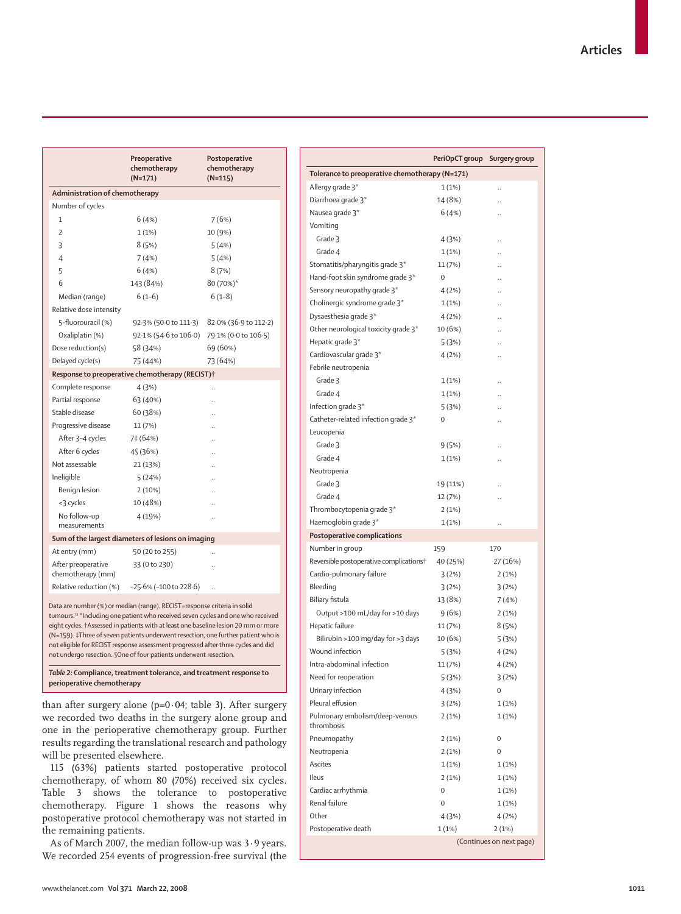|                                         | Preoperative<br>chemotherapy<br>$(N=171)$          | Postoperative<br>chemotherapy<br>$(N=115)$ |
|-----------------------------------------|----------------------------------------------------|--------------------------------------------|
| Administration of chemotherapy          |                                                    |                                            |
| Number of cycles                        |                                                    |                                            |
| 1                                       | 6(4%)                                              | 7(6%)                                      |
| $\overline{2}$                          | 1(1%)                                              | 10 (9%)                                    |
| 3                                       | 8(5%)                                              | 5(4%)                                      |
| 4                                       | 7(4%)                                              | 5(4%)                                      |
| 5                                       | 6(4%)                                              | 8(7%)                                      |
| 6                                       | 143 (84%)                                          | 80 (70%)*                                  |
| Median (range)                          | $6(1-6)$                                           | $6(1-8)$                                   |
| Relative dose intensity                 |                                                    |                                            |
| 5-fluorouracil (%)                      | 92.3% (50.0 to 111.3)                              | 82.0% (36.9 to 112.2)                      |
| Oxaliplatin (%)                         | 92.1% (54.6 to 106.0)                              | 79.1% (0.0 to 106.5)                       |
| Dose reduction(s)                       | 58 (34%)                                           | 69 (60%)                                   |
| Delayed cycle(s)                        | 75 (44%)                                           | 73 (64%)                                   |
|                                         | Response to preoperative chemotherapy (RECIST)+    |                                            |
| Complete response                       | 4(3%)                                              |                                            |
| Partial response                        | 63 (40%)                                           |                                            |
| Stable disease                          | 60 (38%)                                           |                                            |
| Progressive disease                     | 11 (7%)                                            |                                            |
| After 3-4 cycles                        | 7‡ (64%)                                           | $\ddot{\phantom{a}}$                       |
| After 6 cycles                          | 4\$ (36%)                                          |                                            |
| Not assessable                          | 21 (13%)                                           | $\ddot{\phantom{a}}$                       |
| Ineligible                              | 5(24%)                                             |                                            |
| Benign lesion                           | $2(10\%)$                                          | $\ddot{\phantom{a}}$                       |
| <3 cycles                               | 10 (48%)                                           |                                            |
| No follow-up<br>measurements            | 4 (19%)                                            |                                            |
|                                         | Sum of the largest diameters of lesions on imaging |                                            |
| At entry (mm)                           | 50 (20 to 255)                                     | $\ddot{\phantom{a}}$                       |
| After preoperative<br>chemotherapy (mm) | 33 (0 to 230)                                      | $\ddot{\phantom{a}}$                       |
| Relative reduction (%)                  | –25·6% (–100 to 228·6)                             |                                            |

Data are number (%) or median (range). RECIST=response criteria in solid tumours.13 \*Including one patient who received seven cycles and one who received eight cycles. †Assessed in patients with at least one baseline lesion 20 mm or more (N=159). ‡Three of seven patients underwent resection, one further patient who is not eligible for RECIST response assessment progressed after three cycles and did not undergo resection. §One of four patients underwent resection.

*Table 2:* **Compliance, treatment tolerance, and treatment response to perioperative chemotherapy**

than after surgery alone ( $p=0.04$ ; table 3). After surgery we recorded two deaths in the surgery alone group and one in the perioperative chemotherapy group. Further results regarding the translational research and pathology will be presented elsewhere.

115 (63%) patients started postoperative protocol chemo therapy, of whom 80 (70%) received six cycles. Table 3 shows the tolerance to postoperative chemotherapy. Figure 1 shows the reasons why postoperative protocol chemotherapy was not started in the remaining patients.

As of March 2007, the median follow-up was 3·9 years. We recorded 254 events of progression-free survival (the

|                                                | PeriOpCT group Surgery group |                          |
|------------------------------------------------|------------------------------|--------------------------|
| Tolerance to preoperative chemotherapy (N=171) |                              |                          |
| Allergy grade 3*                               | 1(1%)                        |                          |
| Diarrhoea grade 3*                             | 14 (8%)                      |                          |
| Nausea grade 3*                                | 6(4%)                        |                          |
| Vomiting                                       |                              |                          |
| Grade 3                                        | 4 (3%)                       |                          |
| Grade 4                                        | 1(1%)                        | $\ddot{\phantom{a}}$     |
| Stomatitis/pharyngitis grade 3*                | 11 (7%)                      |                          |
| Hand-foot skin syndrome grade 3*               | $\mathbf 0$                  |                          |
| Sensory neuropathy grade 3*                    | 4(2%)                        |                          |
| Cholinergic syndrome grade 3*                  | 1(1%)                        | $\ddot{\phantom{a}}$     |
| Dysaesthesia grade 3*                          | 4 (2%)                       | $\ddot{\phantom{a}}$     |
| Other neurological toxicity grade 3*           | 10 (6%)                      |                          |
| Hepatic grade 3*                               | 5(3%)                        |                          |
| Cardiovascular grade 3*                        | 4 (2%)                       |                          |
| Febrile neutropenia                            |                              |                          |
| Grade 3                                        | 1(1%)                        |                          |
| Grade 4                                        | 1(1%)                        |                          |
| Infection grade 3*                             | 5 (3%)                       |                          |
| Catheter-related infection grade 3*            | 0                            | $\ddot{\phantom{a}}$     |
| Leucopenia                                     |                              |                          |
| Grade 3                                        | 9(5%)                        | $\ddot{\phantom{a}}$     |
| Grade 4                                        | 1(1%)                        |                          |
| Neutropenia                                    |                              |                          |
| Grade 3                                        | 19 (11%)                     |                          |
| Grade 4                                        | 12 (7%)                      | $\ddot{\phantom{a}}$     |
| Thrombocytopenia grade 3*                      | 2(1%)                        |                          |
| Haemoglobin grade 3*                           | 1 (1%)                       |                          |
| Postoperative complications                    |                              |                          |
| Number in group                                | 159                          | 170                      |
| Reversible postoperative complications†        | 40 (25%)                     | 27 (16%)                 |
| Cardio-pulmonary failure                       | 3(2%)                        | 2(1%)                    |
| Bleeding                                       | 3(2%)                        | 3(2%)                    |
| Biliary fistula                                | 13 (8%)                      | 7(4%)                    |
| Output >100 mL/day for >10 days                | 9(6%)                        | 2(1%)                    |
| Hepatic failure                                | 11 (7%)                      | 8(5%)                    |
| Bilirubin >100 mg/day for >3 days              | 10 (6%)                      | 5(3%)                    |
| Wound infection                                | 5(3%)                        | 4(2%)                    |
| Intra-abdominal infection                      | 11 (7%)                      | 4(2%)                    |
| Need for reoperation                           | 5 (3%)                       | 3(2%)                    |
| Urinary infection                              | 4 (3%)                       | 0                        |
| Pleural effusion                               | 3(2%)                        | 1(1%)                    |
| Pulmonary embolism/deep-venous<br>thrombosis   | 2(1%)                        | 1(1%)                    |
| Pneumopathy                                    | 2(1%)                        | 0                        |
| Neutropenia                                    | 2(1%)                        | 0                        |
| Ascites                                        | 1(1%)                        | 1(1%)                    |
| Ileus                                          | 2(1%)                        | 1 (1%)                   |
| Cardiac arrhythmia                             | 0                            | 1(1%)                    |
| Renal failure                                  | $\mathbf 0$                  | 1(1%)                    |
| Other                                          | 4 (3%)                       | 4(2%)                    |
| Postoperative death                            | 1(1%)                        | 2(1%)                    |
|                                                |                              | (Continues on next page) |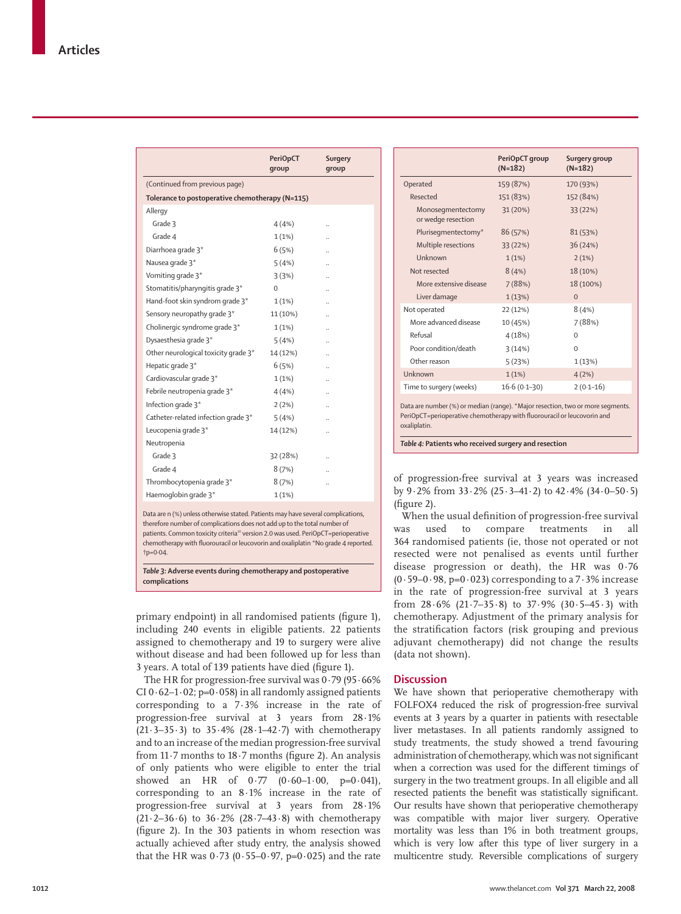|                                                 | <b>PeriOpCT</b><br>group | Surgery<br>group     |
|-------------------------------------------------|--------------------------|----------------------|
| (Continued from previous page)                  |                          |                      |
| Tolerance to postoperative chemotherapy (N=115) |                          |                      |
| Allergy                                         |                          |                      |
| Grade 3                                         | 4(4%)                    |                      |
| Grade 4                                         | 1(1%)                    | $\ddot{\phantom{a}}$ |
| Diarrhoea grade 3*                              | 6(5%)                    |                      |
| Nausea grade 3*                                 | 5(4%)                    | $\ddot{\phantom{a}}$ |
| Vomiting grade 3*                               | 3(3%)                    | $\ddot{\phantom{a}}$ |
| Stomatitis/pharyngitis grade 3*                 | $\Omega$                 | $\ddot{\phantom{a}}$ |
| Hand-foot skin syndrom grade 3*                 | 1(1%)                    | $\ddot{\phantom{a}}$ |
| Sensory neuropathy grade 3*                     | 11 (10%)                 | $\ddot{\phantom{a}}$ |
| Cholinergic syndrome grade 3*                   | 1(1%)                    |                      |
| Dysaesthesia grade 3*                           | 5(4%)                    | $\ddot{\phantom{a}}$ |
| Other neurological toxicity grade 3*            | 14 (12%)                 |                      |
| Hepatic grade 3*                                | 6(5%)                    | $\ddot{\phantom{a}}$ |
| Cardiovascular grade 3*                         | 1(1%)                    | $\ddot{\phantom{a}}$ |
| Febrile neutropenia grade 3*                    | 4(4%)                    | $\ddot{\phantom{a}}$ |
| Infection grade 3*                              | 2(2%)                    | $\ddot{\phantom{a}}$ |
| Catheter-related infection grade 3*             | 5(4%)                    | $\ddot{\phantom{a}}$ |
| Leucopenia grade 3*                             | 14 (12%)                 |                      |
| Neutropenia                                     |                          |                      |
| Grade 3                                         | 32 (28%)                 | $\ddot{\phantom{a}}$ |
| Grade 4                                         | 8(7%)                    | $\ddot{\phantom{a}}$ |
| Thrombocytopenia grade 3*                       | 8(7%)                    |                      |
| Haemoglobin grade 3*                            | 1(1%)                    |                      |

Data are n (%) unless otherwise stated. Patients may have several complications, therefore number of complications does not add up to the total number of patients. Common toxicity criteria<sup>10</sup> version 2.0 was used. PeriOpCT=perioperative chemotherapy with fluorouracil or leucovorin and oxaliplatin \*No grade 4 reported.  $\n *ln* = 0.04\n$ 

*Table 3:* **Adverse events during chemotherapy and postoperative complications**

primary endpoint) in all randomised patients (figure 1), including 240 events in eligible patients. 22 patients assigned to chemotherapy and 19 to surgery were alive without disease and had been followed up for less than 3 years. A total of 139 patients have died (figure 1).

The HR for progression-free survival was  $0.79$  (95 $\cdot$  66%) CI  $0.62-1.02$ ; p= $0.058$ ) in all randomly assigned patients corresponding to a 7·3% increase in the rate of progression-free survival at 3 years from 28·1% (21·3–35·3) to 35·4% (28·1–42·7) with chemotherapy and to an increase of the median progression-free survival from  $11.7$  months to  $18.7$  months (figure 2). An analysis of only patients who were eligible to enter the trial showed an HR of  $0.77$   $(0.60-1.00, p=0.041)$ , corresponding to an 8·1% increase in the rate of progression-free survival at 3 years from 28·1% (21.2–36.6) to  $36.2\%$  (28.7–43.8) with chemotherapy (figure 2). In the  $303$  patients in whom resection was actually achieved after study entry, the analysis showed that the HR was  $0.73$  (0.55–0.97, p=0.025) and the rate

|                                         | PeriOpCT group<br>$(N=182)$ | Surgery group<br>$(N=182)$ |
|-----------------------------------------|-----------------------------|----------------------------|
| Operated                                | 159 (87%)                   | 170 (93%)                  |
| Resected                                | 151 (83%)                   | 152 (84%)                  |
| Monosegmentectomy<br>or wedge resection | 31 (20%)                    | 33 (22%)                   |
| Plurisegmentectomy*                     | 86 (57%)                    | 81 (53%)                   |
| Multiple resections                     | 33 (22%)                    | 36 (24%)                   |
| Unknown                                 | 1(1%)                       | 2(1%)                      |
| Not resected                            | 8(4%)                       | 18 (10%)                   |
| More extensive disease                  | 7(88%)                      | 18 (100%)                  |
| Liver damage                            | 1(13%)                      | $\Omega$                   |
| Not operated                            | 22 (12%)                    | 8(4%)                      |
| More advanced disease                   | 10 (45%)                    | 7(88%)                     |
| Refusal                                 | 4(18%)                      | 0                          |
| Poor condition/death                    | 3(14%)                      | $\Omega$                   |
| Other reason                            | 5(23%)                      | 1(13%)                     |
| Unknown                                 | 1(1%)                       | 4(2%)                      |
| Time to surgery (weeks)                 | $16.6(0.1-30)$              | $2(0.1-16)$                |

*Table 4:* **Patients who received surgery and resection**

of progression-free survival at 3 years was increased by 9·2% from 33·2% (25·3–41·2) to 42·4% (34·0–50·5)  $(f_{011}r_{e} 2)$ 

When the usual definition of progression-free survival was used to compare treatments in all 364 randomised patients (ie, those not operated or not resected were not penalised as events until further disease progression or death), the HR was 0·76  $(0.59-0.98, p=0.023)$  corresponding to a  $7.3\%$  increase in the rate of progression-free survival at 3 years from  $28.6\%$  (21.7-35.8) to  $37.9\%$  (30.5-45.3) with chemotherapy. Adjustment of the primary analysis for the stratification factors (risk grouping and previous adjuvant chemotherapy) did not change the results (data not shown).

# **Discussion**

oxaliplatin.

We have shown that perioperative chemotherapy with FOLFOX4 reduced the risk of progression-free survival events at 3 years by a quarter in patients with resectable liver metastases. In all patients randomly assigned to study treatments, the study showed a trend favouring administration of chemotherapy, which was not significant when a correction was used for the different timings of surgery in the two treatment groups. In all eligible and all resected patients the benefit was statistically significant. Our results have shown that perioperative chemotherapy was compatible with major liver surgery. Operative mortality was less than 1% in both treatment groups, which is very low after this type of liver surgery in a multicentre study. Reversible complications of surgery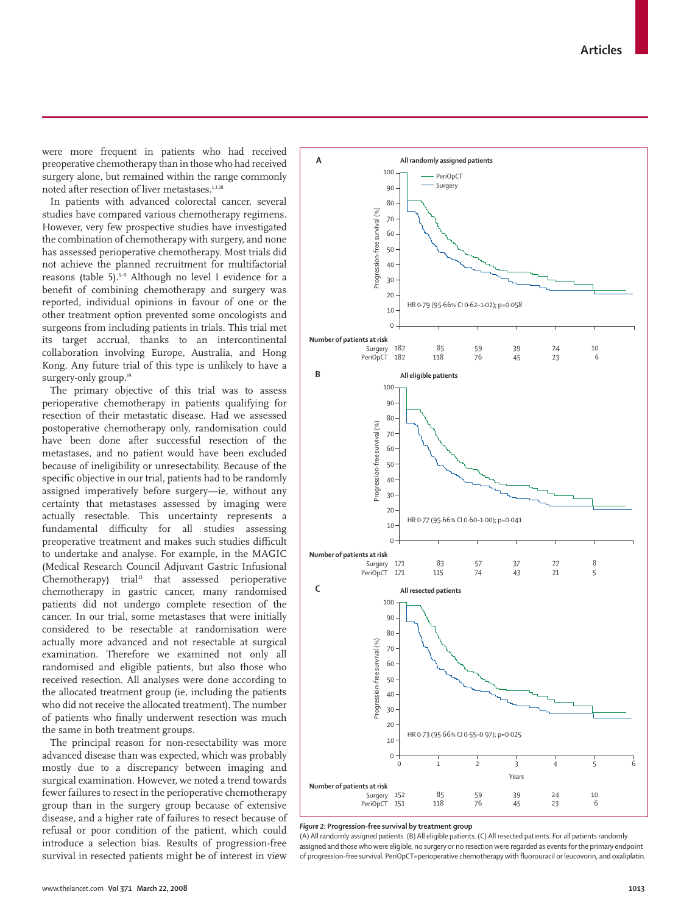

were more frequent in patients who had received preoperative chemotherapy than in those who had received surgery alone, but remained within the range commonly noted after resection of liver metastases.1,3,18

In patients with advanced colorectal cancer, several studies have compared various chemotherapy regimens. However, very few prospective studies have investigated the combination of chemotherapy with surgery, and none has assessed perioperative chemotherapy. Most trials did not achieve the planned recruitment for multifactorial reasons (table 5).5–9 Although no level I evidence for a benefit of combining chemotherapy and surgery was reported, individual opinions in favour of one or the other treatment option prevented some oncologists and surgeons from including patients in trials. This trial met its target accrual, thanks to an intercontinental collaboration involving Europe, Australia, and Hong Kong. Any future trial of this type is unlikely to have a surgery-only group.<sup>19</sup>

The primary objective of this trial was to assess perioperative chemotherapy in patients qualifying for resection of their metastatic disease. Had we assessed postoperative chemotherapy only, randomisation could have been done after successful resection of the metastases, and no patient would have been excluded because of ineligibility or unresectability. Because of the specific objective in our trial, patients had to be randomly assigned imperatively before surgery—ie, without any certainty that metastases assessed by imaging were actually resectable. This uncertainty represents a fundamental difficulty for all studies assessing preoperative treatment and makes such studies difficult to undertake and analyse. For example, in the MAGIC (Medical Research Council Adjuvant Gastric Infusional  $Chemotherapy)$  trial<sup>13</sup> that assessed perioperative chemotherapy in gastric cancer, many randomised patients did not undergo complete resection of the cancer. In our trial, some metastases that were initially considered to be resectable at randomisation were actually more advanced and not resectable at surgical examination. Therefore we examined not only all randomised and eligible patients, but also those who received resection. All analyses were done according to the allocated treatment group (ie, including the patients who did not receive the allocated treatment). The number of patients who finally underwent resection was much the same in both treatment groups.

The principal reason for non-resectability was more advanced disease than was expected, which was probably mostly due to a discrepancy between imaging and surgical examination. However, we noted a trend towards fewer failures to resect in the perioperative chemotherapy group than in the surgery group because of extensive disease, and a higher rate of failures to resect because of refusal or poor condition of the patient, which could introduce a selection bias. Results of progression-free survival in resected patients might be of interest in view

#### *Figure 2:* **Progression-free survival by treatment group**

(A) All randomly assigned patients. (B) All eligible patients. (C) All resected patients. For all patients randomly assigned and those who were eligible, no surgery or no resection were regarded as events for the primary endpoint of progression-free survival. PeriOpCT=perioperative chemotherapy with fluorouracil or leucovorin, and oxaliplatin.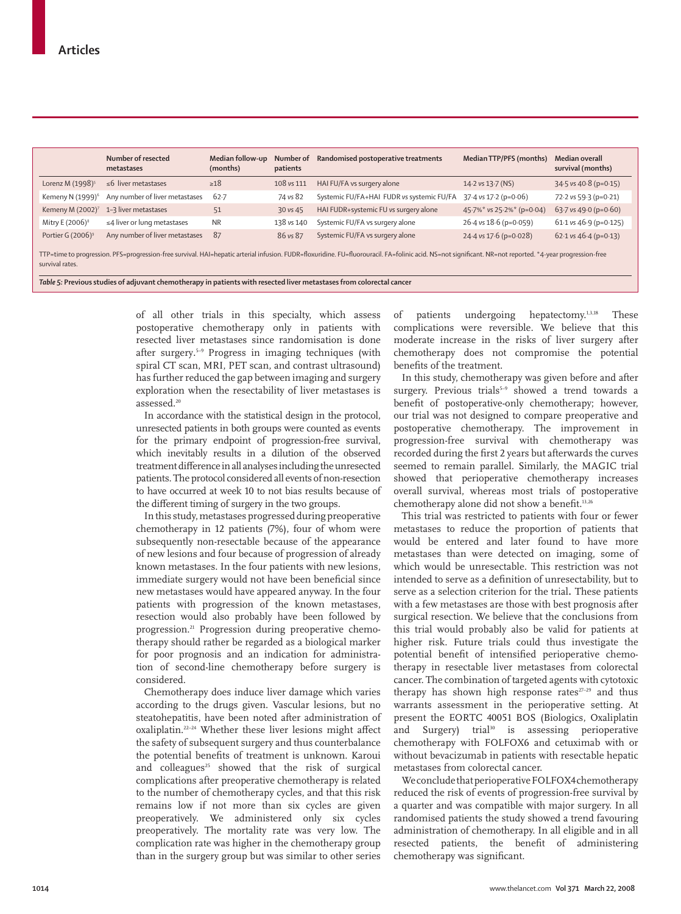|                                                                                                                                                                                                                             | Number of resected<br>metastases  | Median follow-up<br>(months) | Number of<br>patients | Randomised postoperative treatments       | Median TTP/PFS (months)    | Median overall<br>survival (months) |
|-----------------------------------------------------------------------------------------------------------------------------------------------------------------------------------------------------------------------------|-----------------------------------|------------------------------|-----------------------|-------------------------------------------|----------------------------|-------------------------------------|
| Lorenz M $(1998)^5$                                                                                                                                                                                                         | $\leq$ 6 liver metastases         | $\geq 18$                    | 108 vs 111            | HAI FU/FA vs surgery alone                | 14.2 vs 13.7 (NS)          | $34.5$ vs $40.8$ (p=0.15)           |
| Kemeny N (1999) <sup>6</sup>                                                                                                                                                                                                | Any number of liver metastases    | $62 - 7$                     | 74 vs 82              | Systemic FU/FA+HAI FUDR vs systemic FU/FA | $37.4$ vs $17.2$ (p=0.06)  | 72.2 vs 59.3 (p=0.21)               |
| Kemeny M (2002) <sup>7</sup>                                                                                                                                                                                                | 1-3 liver metastases              | 51                           | $30 \text{ vs } 45$   | HAI FUDR+systemic FU vs surgery alone     | 45.7%* vs 25.2%* (p=0.04)  | 63.7 vs 49.0 ( $p=0.60$ )           |
| Mitry E (2006) <sup>8</sup>                                                                                                                                                                                                 | $\leq$ 4 liver or lung metastases | <b>NR</b>                    | 138 vs 140            | Systemic FU/FA vs surgery alone           | $26.4$ vs $18.6$ (p=0.059) | 61.1 vs $46.9$ (p=0.125)            |
| Portier G (2006) <sup>9</sup>                                                                                                                                                                                               | Any number of liver metastases    | 87                           | 86 vs 87              | Systemic FU/FA vs surgery alone           | 24.4 vs $17.6$ (p=0.028)   | $62.1$ vs $46.4$ (p=0.13)           |
| TTP=time to progression. PFS=progression-free survival. HAI=hepatic arterial infusion. FUDR=floxuridine. FU=fluorouracil. FA=folinic acid. NS=not significant. NR=not reported. *4-year progression-free<br>survival rates. |                                   |                              |                       |                                           |                            |                                     |

*Table 5:* **Previous studies of adjuvant chemotherapy in patients with resected liver metastases from colorectal cancer**

of all other trials in this specialty, which assess postoperative chemotherapy only in patients with resected liver metastases since randomisation is done after surgery.<sup>5-9</sup> Progress in imaging techniques (with spiral CT scan, MRI, PET scan, and contrast ultrasound) has further reduced the gap between imaging and surgery exploration when the resectability of liver metastases is assessed.20

In accordance with the statistical design in the protocol, unresected patients in both groups were counted as events for the primary endpoint of progression-free survival, which inevitably results in a dilution of the observed treatment difference in all analyses including the unresected patients. The protocol considered all events of non-resection to have occurred at week 10 to not bias results because of the different timing of surgery in the two groups.

In this study, metastases progressed during preoperative chemotherapy in 12 patients (7%), four of whom were subsequently non-resectable because of the appearance of new lesions and four because of progression of already known metastases. In the four patients with new lesions, immediate surgery would not have been beneficial since new metastases would have appeared anyway. In the four patients with progression of the known metastases, resection would also probably have been followed by progression.21 Progression during preoperative chemotherapy should rather be regarded as a biological marker for poor prognosis and an indication for administration of second-line chemotherapy before surgery is considered.

Chemotherapy does induce liver damage which varies according to the drugs given. Vascular lesions, but no steatohepatitis, have been noted after administration of oxaliplatin.<sup>22–24</sup> Whether these liver lesions might affect the safety of subsequent surgery and thus counterbalance the potential benefits of treatment is unknown. Karoui and colleagues<sup>25</sup> showed that the risk of surgical complications after preoperative chemotherapy is related to the number of chemotherapy cycles, and that this risk remains low if not more than six cycles are given preoperatively. We administered only six cycles preoperatively. The mortality rate was very low. The complication rate was higher in the chemotherapy group than in the surgery group but was similar to other series of patients undergoing hepatectomy.1,3,18 These complications were reversible. We believe that this moderate increase in the risks of liver surgery after chemotherapy does not compromise the potential benefits of the treatment.

In this study, chemotherapy was given before and after surgery. Previous trials<sup>5-9</sup> showed a trend towards a benefit of postoperative-only chemotherapy; however, our trial was not designed to compare preoperative and postoperative chemotherapy. The improvement in progression-free survival with chemotherapy was recorded during the first 2 years but afterwards the curves seemed to remain parallel. Similarly, the MAGIC trial showed that perioperative chemotherapy increases overall survival, whereas most trials of postoperative chemotherapy alone did not show a benefit.<sup>13,26</sup>

This trial was restricted to patients with four or fewer metastases to reduce the proportion of patients that would be entered and later found to have more metastases than were detected on imaging, some of which would be unresectable. This restriction was not intended to serve as a definition of unresectability, but to serve as a selection criterion for the trial. These patients with a few metastases are those with best prognosis after surgical resection. We believe that the conclusions from this trial would probably also be valid for patients at higher risk. Future trials could thus investigate the potential benefit of intensified perioperative chemotherapy in resectable liver metastases from colorectal cancer. The combination of targeted agents with cytotoxic therapy has shown high response rates $27-29$  and thus warrants assessment in the perioperative setting. At present the EORTC 40051 BOS (Biologics, Oxaliplatin and Surgery) trial<sup>30</sup> is assessing perioperative chemotherapy with FOLFOX6 and cetuximab with or without bevacizumab in patients with resectable hepatic metastases from colorectal cancer.

We conclude that perioperative FOLFOX4 chemotherapy reduced the risk of events of progression-free survival by a quarter and was compatible with major surgery. In all randomised patients the study showed a trend favouring administration of chemotherapy. In all eligible and in all resected patients, the benefit of administering chemotherapy was significant.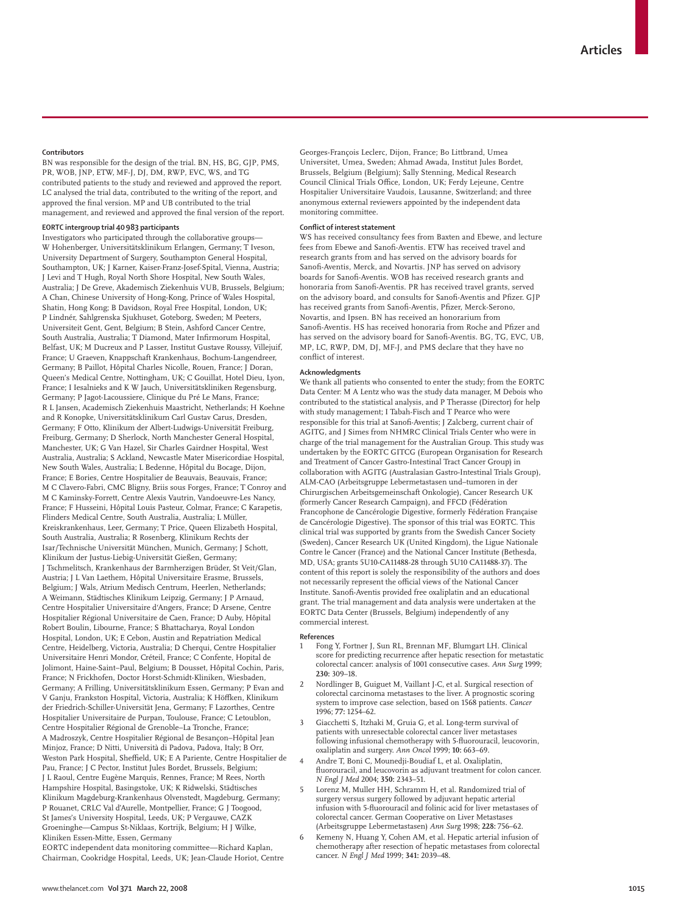#### **Contributors**

BN was responsible for the design of the trial. BN, HS, BG, GJP, PMS, PR, WOB, JNP, ETW, MF-J, DJ, DM, RWP, EVC, WS, and TG contributed patients to the study and reviewed and approved the report. LC analysed the trial data, contributed to the writing of the report, and approved the final version. MP and UB contributed to the trial management, and reviewed and approved the final version of the report.

#### **EORTC intergroup trial 40 983 participants**

Investigators who participated through the collaborative groups— W Hohenberger, Universitätsklinikum Erlangen, Germany; T Iveson, University Department of Surgery, Southampton General Hospital, Southampton, UK; J Karner, Kaiser-Franz-Josef-Spital, Vienna, Austria; J Levi and T Hugh, Royal North Shore Hospital, New South Wales, Australia; J De Greve, Akademisch Ziekenhuis VUB, Brussels, Belgium; A Chan, Chinese University of Hong-Kong, Prince of Wales Hospital, Shatin, Hong Kong; B Davidson, Royal Free Hospital, London, UK; P Lindnér, Sahlgrenska Sjukhuset, Goteborg, Sweden; M Peeters, Universiteit Gent, Gent, Belgium; B Stein, Ashford Cancer Centre, South Australia, Australia; T Diamond, Mater Infirmorum Hospital, Belfast, UK; M Ducreux and P Lasser, Institut Gustave Roussy, Villejuif, France; U Graeven, Knappschaft Krankenhaus, Bochum-Langendreer, Germany; B Paillot, Hôpital Charles Nicolle, Rouen, France; J Doran, Queen's Medical Centre, Nottingham, UK; C Gouillat, Hotel Dieu, Lyon, France; I Iesalnieks and K W Jauch, Universitätskliniken Regensburg, Germany; P Jagot-Lacoussiere, Clinique du Pré Le Mans, France; R L Jansen, Academisch Ziekenhuis Maastricht, Netherlands; H Koehne and R Konopke, Universitätsklinikum Carl Gustav Carus, Dresden, Germany; F Otto, Klinikum der Albert-Ludwigs-Universität Freiburg, Freiburg, Germany; D Sherlock, North Manchester General Hospital, Manchester, UK; G Van Hazel, Sir Charles Gairdner Hospital, West Australia, Australia; S Ackland, Newcastle Mater Misericordiae Hospital, New South Wales, Australia; L Bedenne, Hôpital du Bocage, Dijon, France; E Bories, Centre Hospitalier de Beauvais, Beauvais, France; M C Clavero-Fabri, CMC Bligny, Briis sous Forges, France; T Conroy and M C Kaminsky-Forrett, Centre Alexis Vautrin, Vandoeuvre-Les Nancy, France; F Husseini, Hôpital Louis Pasteur, Colmar, France; C Karapetis, Flinders Medical Centre, South Australia, Australia; L Müller, Kreiskrankenhaus, Leer, Germany; T Price, Queen Elizabeth Hospital, South Australia, Australia; R Rosenberg, Klinikum Rechts der Isar/Technische Universität München, Munich, Germany; J Schott, Klinikum der Justus-Liebig-Universität Gießen, Germany; J Tschmelitsch, Krankenhaus der Barmherzigen Brüder, St Veit/Glan, Austria; J L Van Laethem, Hôpital Universitaire Erasme, Brussels, Belgium; J Wals, Atrium Medisch Centrum, Heerlen, Netherlands; A Weimann, Städtisches Klinikum Leipzig, Germany; J P Arnaud, Centre Hospitalier Universitaire d'Angers, France; D Arsene, Centre Hospitalier Régional Universitaire de Caen, France; D Auby, Hôpital Robert Boulin, Libourne, France; S Bhattacharya, Royal London Hospital, London, UK; E Cebon, Austin and Repatriation Medical Centre, Heidelberg, Victoria, Australia; D Cherqui, Centre Hospitalier Universitaire Henri Mondor, Créteil, France; C Confente, Hopital de Jolimont, Haine-Saint–Paul, Belgium; B Dousset, Hôpital Cochin, Paris, France; N Frickhofen, Doctor Horst-Schmidt-Kliniken, Wiesbaden, Germany; A Frilling, Universitätsklinikum Essen, Germany; P Evan and V Ganju, Frankston Hospital, Victoria, Australia; K Höffken, Klinikum der Friedrich-Schiller-Universität Jena, Germany; F Lazorthes, Centre Hospitalier Universitaire de Purpan, Toulouse, France; C Letoublon, Centre Hospitalier Régional de Grenoble–La Tronche, France; A Madroszyk, Centre Hospitalier Régional de Besançon–Hôpital Jean Minjoz, France; D Nitti, Università di Padova, Padova, Italy; B Orr, Weston Park Hospital, Sheffield, UK; E A Pariente, Centre Hospitalier de Pau, France; J C Pector, Institut Jules Bordet, Brussels, Belgium; J L Raoul, Centre Eugène Marquis, Rennes, France; M Rees, North Hampshire Hospital, Basingstoke, UK; K Ridwelski, Städtisches Klinikum Magdeburg-Krankenhaus Olvenstedt, Magdeburg, Germany; P Rouanet, CRLC Val d'Aurelle, Montpellier, France; G J Toogood, St James's University Hospital, Leeds, UK; P Vergauwe, CAZK Groeninghe—Campus St-Niklaas, Kortrijk, Belgium; H J Wilke, Kliniken Essen-Mitte, Essen, Germany

EORTC independent data monitoring committee—Richard Kaplan, Chairman, Cookridge Hospital, Leeds, UK; Jean-Claude Horiot, Centre Georges-François Leclerc, Dijon, France; Bo Littbrand, Umea Universitet, Umea, Sweden; Ahmad Awada, Institut Jules Bordet, Brussels, Belgium (Belgium); Sally Stenning, Medical Research Council Clinical Trials Office, London, UK; Ferdy Lejeune, Centre Hospitalier Universitaire Vaudois, Lausanne, Switzerland; and three anonymous external reviewers appointed by the independent data monitoring committee.

#### **Confl ict of interest statement**

WS has received consultancy fees from Baxten and Ebewe, and lecture fees from Ebewe and Sanofi -Aventis. ETW has received travel and research grants from and has served on the advisory boards for Sanofi -Aventis, Merck, and Novartis. JNP has served on advisory boards for Sanofi -Aventis. WOB has received research grants and honoraria from Sanofi -Aventis. PR has received travel grants, served on the advisory board, and consults for Sanofi-Aventis and Pfizer. GJP has received grants from Sanofi-Aventis, Pfizer, Merck-Serono, Novartis, and Ipsen. BN has received an honorarium from Sanofi-Aventis. HS has received honoraria from Roche and Pfizer and has served on the advisory board for Sanofi -Aventis. BG, TG, EVC, UB, MP, LC, RWP, DM, DJ, MF-J, and PMS declare that they have no conflict of interest.

#### **Acknowledgments**

We thank all patients who consented to enter the study; from the EORTC Data Center: M A Lentz who was the study data manager, M Debois who contributed to the statistical analysis, and P Therasse (Director) for help with study management; I Tabah-Fisch and T Pearce who were responsible for this trial at Sanofi -Aventis; J Zalcberg, current chair of AGITG, and J Simes from NHMRC Clinical Trials Center who were in charge of the trial management for the Australian Group. This study was undertaken by the EORTC GITCG (European Organisation for Research and Treatment of Cancer Gastro-Intestinal Tract Cancer Group) in collaboration with AGITG (Australasian Gastro-Intestinal Trials Group), ALM-CAO (Arbeitsgruppe Lebermetastasen und–tumoren in der Chirurgischen Arbeitsgemeinschaft Onkologie), Cancer Research UK (formerly Cancer Research Campaign), and FFCD (Fédération Francophone de Cancérologie Digestive, formerly Fédération Française de Cancérologie Digestive). The sponsor of this trial was EORTC. This clinical trial was supported by grants from the Swedish Cancer Society (Sweden), Cancer Research UK (United Kingdom), the Ligue Nationale Contre le Cancer (France) and the National Cancer Institute (Bethesda, MD, USA; grants 5U10-CA11488-28 through 5U10 CA11488-37). The content of this report is solely the responsibility of the authors and does not necessarily represent the official views of the National Cancer Institute. Sanofi -Aventis provided free oxaliplatin and an educational grant. The trial management and data analysis were undertaken at the EORTC Data Center (Brussels, Belgium) independently of any commercial interest.

#### **References**

- 1 Fong Y, Fortner J, Sun RL, Brennan MF, Blumgart LH. Clinical score for predicting recurrence after hepatic resection for metastatic colorectal cancer: analysis of 1001 consecutive cases. *Ann Surg* 1999; **230:** 309–18.
- 2 Nordlinger B**,** Guiguet M, Vaillant J-C, et al. Surgical resection of colorectal carcinoma metastases to the liver. A prognostic scoring system to improve case selection, based on 1568 patients. *Cancer* 1996; **77:** 1254–62.
- 3 Giacchetti S, Itzhaki M, Gruia G, et al. Long-term survival of patients with unresectable colorectal cancer liver metastases following infusional chemotherapy with 5-fluorouracil, leucovorin, oxaliplatin and surgery. *Ann Oncol* 1999; **10:** 663–69.
- 4 Andre T, Boni C, Mounedji-Boudiaf L, et al. Oxaliplatin, fluorouracil, and leucovorin as adjuvant treatment for colon cancer. *N Engl J Med* 2004; **350:** 2343–51.
- 5 Lorenz M, Muller HH, Schramm H, et al. Randomized trial of surgery versus surgery followed by adjuvant hepatic arterial infusion with 5-fluorouracil and folinic acid for liver metastases of colorectal cancer. German Cooperative on Liver Metastases (Arbeitsgruppe Lebermetastasen) *Ann Surg* 1998; **228:** 756–62.
- Kemeny N, Huang Y, Cohen AM, et al. Hepatic arterial infusion of chemotherapy after resection of hepatic metastases from colorectal cancer. *N Engl J Med* 1999; **341:** 2039–48.